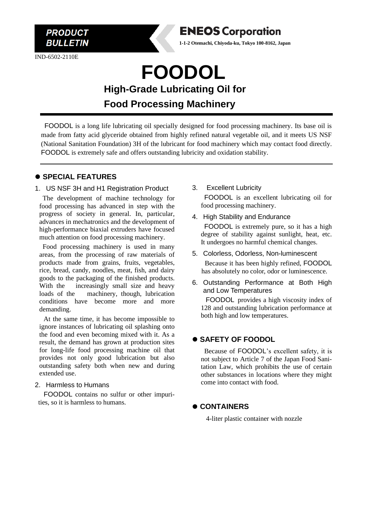

IND-6502-2110E



**1-1-2 Otemachi, Chiyoda-ku, Tokyo 100-8162, Japan**

**FOODOL High-Grade Lubricating Oil for Food Processing Machinery**

FOODOL is a long life lubricating oil specially designed for food processing machinery. Its base oil is made from fatty acid glyceride obtained from highly refined natural vegetable oil, and it meets US NSF (National Sanitation Foundation) 3H of the lubricant for food machinery which may contact food directly. FOODOL is extremely safe and offers outstanding lubricity and oxidation stability.

# ⚫ **SPECIAL FEATURES**

#### 1. US NSF 3H and H1 Registration Product

The development of machine technology for food processing has advanced in step with the progress of society in general. In, particular, advances in mechatronics and the development of high-performance biaxial extruders have focused much attention on food processing machinery.

Food processing machinery is used in many areas, from the processing of raw materials of products made from grains, fruits, vegetables, rice, bread, candy, noodles, meat, fish, and dairy goods to the packaging of the finished products. With the increasingly small size and heavy loads of the machinery, though, lubrication conditions have become more and more demanding.

At the same time, it has become impossible to ignore instances of lubricating oil splashing onto the food and even becoming mixed with it. As a result, the demand has grown at production sites for long-life food processing machine oil that provides not only good lubrication but also outstanding safety both when new and during extended use.

#### 2. Harmless to Humans

FOODOL contains no sulfur or other impurities, so it is harmless to humans.

- 3. Excellent Lubricity FOODOL is an excellent lubricating oil for food processing machinery.
- 4. High Stability and Endurance

FOODOL is extremely pure, so it has a high degree of stability against sunlight, heat, etc. It undergoes no harmful chemical changes.

- 5. Colorless, Odorless, Non-luminescent Because it has been highly refined, FOODOL has absolutely no color, odor or luminescence.
- 6. Outstanding Performance at Both High and Low Temperatures

 FOODOL provides a high viscosity index of 128 and outstanding lubrication performance at both high and low temperatures.

# ⚫ **SAFETY OF FOODOL**

Because of FOODOL's excellent safety, it is not subject to Article 7 of the Japan Food Sanitation Law, which prohibits the use of certain other substances in locations where they might come into contact with food.

# ⚫ **CONTAINERS**

4-liter plastic container with nozzle